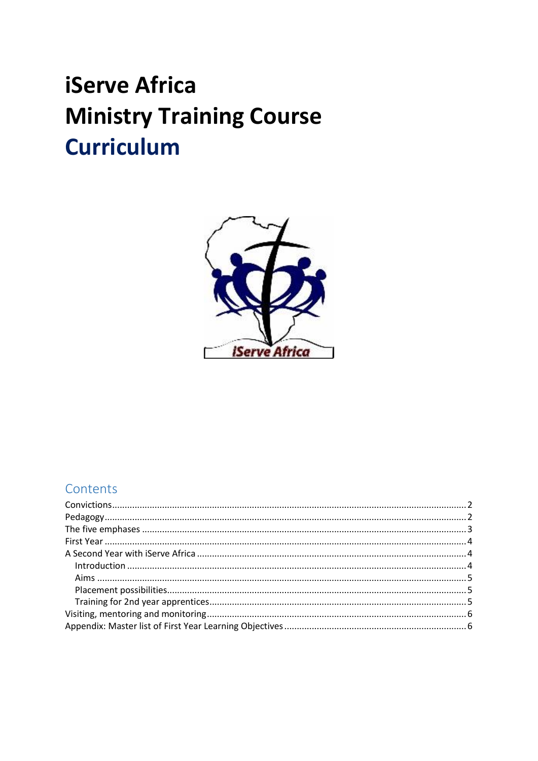# **iServe Africa Ministry Training Course Curriculum**



## Contents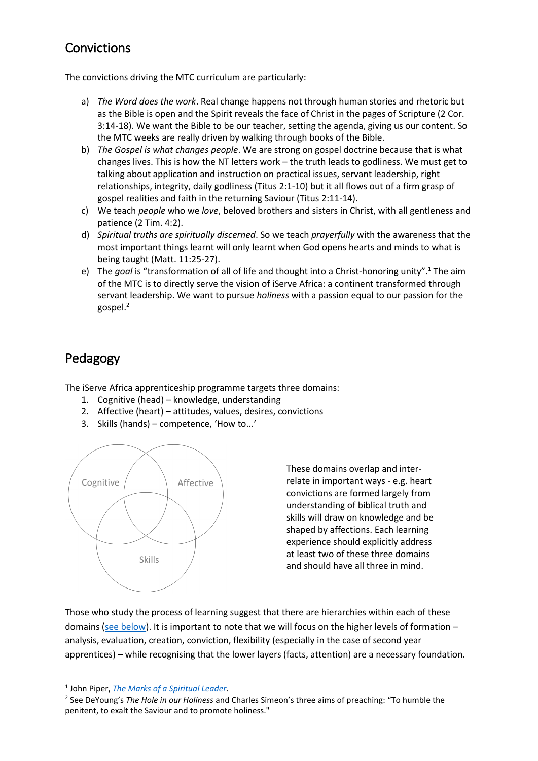## <span id="page-1-0"></span>Convictions

The convictions driving the MTC curriculum are particularly:

- a) *The Word does the work*. Real change happens not through human stories and rhetoric but as the Bible is open and the Spirit reveals the face of Christ in the pages of Scripture (2 Cor. 3:14-18). We want the Bible to be our teacher, setting the agenda, giving us our content. So the MTC weeks are really driven by walking through books of the Bible.
- b) *The Gospel is what changes people*. We are strong on gospel doctrine because that is what changes lives. This is how the NT letters work – the truth leads to godliness. We must get to talking about application and instruction on practical issues, servant leadership, right relationships, integrity, daily godliness (Titus 2:1-10) but it all flows out of a firm grasp of gospel realities and faith in the returning Saviour (Titus 2:11-14).
- c) We teach *people* who we *love*, beloved brothers and sisters in Christ, with all gentleness and patience (2 Tim. 4:2).
- d) *Spiritual truths are spiritually discerned*. So we teach *prayerfully* with the awareness that the most important things learnt will only learnt when God opens hearts and minds to what is being taught (Matt. 11:25-27).
- e) The goal is "transformation of all of life and thought into a Christ-honoring unity".<sup>1</sup> The aim of the MTC is to directly serve the vision of iServe Africa: a continent transformed through servant leadership. We want to pursue *holiness* with a passion equal to our passion for the gospel.<sup>2</sup>

# <span id="page-1-1"></span>Pedagogy

The iServe Africa apprenticeship programme targets three domains:

- 1. Cognitive (head) knowledge, understanding
- 2. Affective (heart) attitudes, values, desires, convictions
- 3. Skills (hands) competence, 'How to...'



These domains overlap and interrelate in important ways - e.g. heart convictions are formed largely from understanding of biblical truth and skills will draw on knowledge and be shaped by affections. Each learning experience should explicitly address at least two of these three domains and should have all three in mind.

Those who study the process of learning suggest that there are hierarchies within each of these domains [\(see below\)](#page-2-0). It is important to note that we will focus on the higher levels of formation – analysis, evaluation, creation, conviction, flexibility (especially in the case of second year apprentices) – while recognising that the lower layers (facts, attention) are a necessary foundation.

1

<sup>1</sup> John Piper, *[The Marks of a Spiritual Leader](https://href.li/?http://www.desiringgod.org/books/the-marks-of-a-spiritual-leader)*.

<sup>2</sup> See DeYoung's *The Hole in our Holiness* and Charles Simeon's three aims of preaching: "To humble the penitent, to exalt the Saviour and to promote holiness."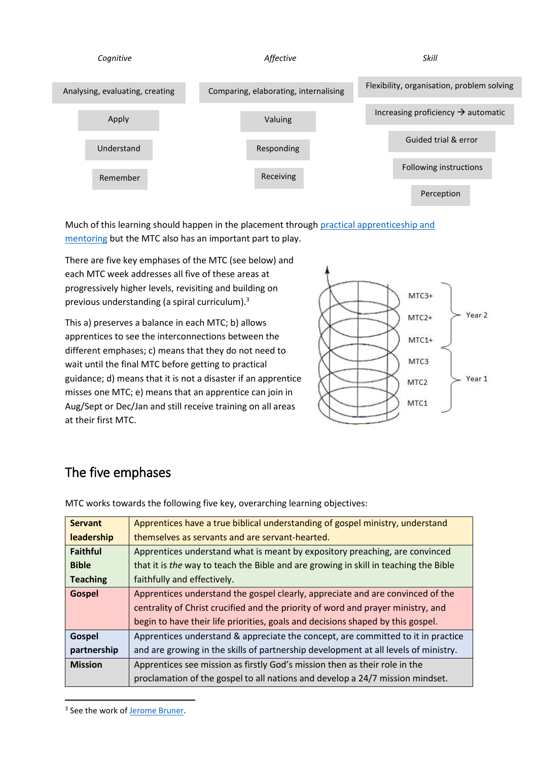

Much of this learning should happen in the placement throug[h practical apprenticeship and](https://iserveafrica.wordpress.com/2015/01/15/what-is-apprenticeship-and-mentoring-all-about/)  [mentoring](https://iserveafrica.wordpress.com/2015/01/15/what-is-apprenticeship-and-mentoring-all-about/) but the MTC also has an important part to play.

There are five key emphases of the MTC (see below) and each MTC week addresses all five of these areas at progressively higher levels, revisiting and building on previous understanding (a spiral curriculum).<sup>3</sup>

This a) preserves a balance in each MTC; b) allows apprentices to see the interconnections between the different emphases; c) means that they do not need to wait until the final MTC before getting to practical guidance; d) means that it is not a disaster if an apprentice misses one MTC; e) means that an apprentice can join in Aug/Sept or Dec/Jan and still receive training on all areas at their first MTC.



# <span id="page-2-0"></span>The five emphases

| <b>Servant</b>  | Apprentices have a true biblical understanding of gospel ministry, understand        |
|-----------------|--------------------------------------------------------------------------------------|
| leadership      | themselves as servants and are servant-hearted.                                      |
| <b>Faithful</b> | Apprentices understand what is meant by expository preaching, are convinced          |
| <b>Bible</b>    | that it is the way to teach the Bible and are growing in skill in teaching the Bible |
| <b>Teaching</b> | faithfully and effectively.                                                          |
| Gospel          | Apprentices understand the gospel clearly, appreciate and are convinced of the       |
|                 | centrality of Christ crucified and the priority of word and prayer ministry, and     |
|                 | begin to have their life priorities, goals and decisions shaped by this gospel.      |
| Gospel          | Apprentices understand & appreciate the concept, are committed to it in practice     |
| partnership     | and are growing in the skills of partnership development at all levels of ministry.  |
| <b>Mission</b>  | Apprentices see mission as firstly God's mission then as their role in the           |
|                 | proclamation of the gospel to all nations and develop a 24/7 mission mindset.        |

MTC works towards the following five key, overarching learning objectives:

1

<sup>&</sup>lt;sup>3</sup> See the work of <u>Jerome Bruner</u>.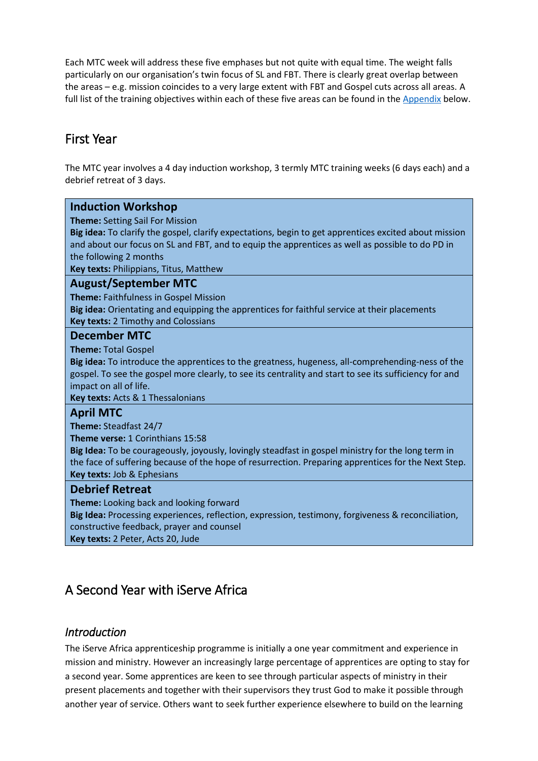Each MTC week will address these five emphases but not quite with equal time. The weight falls particularly on our organisation's twin focus of SL and FBT. There is clearly great overlap between the areas – e.g. mission coincides to a very large extent with FBT and Gospel cuts across all areas. A full list of the training objectives within each of these five areas can be found in the [Appendix](#page-5-1) below.

## <span id="page-3-0"></span>First Year

The MTC year involves a 4 day induction workshop, 3 termly MTC training weeks (6 days each) and a debrief retreat of 3 days.

| <b>Induction Workshop</b>                                                                              |
|--------------------------------------------------------------------------------------------------------|
| <b>Theme:</b> Setting Sail For Mission                                                                 |
| Big idea: To clarify the gospel, clarify expectations, begin to get apprentices excited about mission  |
| and about our focus on SL and FBT, and to equip the apprentices as well as possible to do PD in        |
| the following 2 months                                                                                 |
| Key texts: Philippians, Titus, Matthew                                                                 |
| <b>August/September MTC</b>                                                                            |
| Theme: Faithfulness in Gospel Mission                                                                  |
| Big idea: Orientating and equipping the apprentices for faithful service at their placements           |
| <b>Key texts: 2 Timothy and Colossians</b>                                                             |
| <b>December MTC</b>                                                                                    |
| <b>Theme: Total Gospel</b>                                                                             |
| Big idea: To introduce the apprentices to the greatness, hugeness, all-comprehending-ness of the       |
| gospel. To see the gospel more clearly, to see its centrality and start to see its sufficiency for and |
| impact on all of life.                                                                                 |
| Key texts: Acts & 1 Thessalonians                                                                      |
| <b>April MTC</b>                                                                                       |
| Theme: Steadfast 24/7                                                                                  |
| <b>Theme verse: 1 Corinthians 15:58</b>                                                                |
| Big Idea: To be courageously, joyously, lovingly steadfast in gospel ministry for the long term in     |
| the face of suffering because of the hope of resurrection. Preparing apprentices for the Next Step.    |
| Key texts: Job & Ephesians                                                                             |
| <b>Debrief Retreat</b>                                                                                 |
| Theme: Looking back and looking forward                                                                |
| Big Idea: Processing experiences, reflection, expression, testimony, forgiveness & reconciliation,     |
| constructive feedback, prayer and counsel                                                              |
| Key texts: 2 Peter, Acts 20, Jude                                                                      |

## <span id="page-3-1"></span>A Second Year with iServe Africa

#### <span id="page-3-2"></span>*Introduction*

The iServe Africa apprenticeship programme is initially a one year commitment and experience in mission and ministry. However an increasingly large percentage of apprentices are opting to stay for a second year. Some apprentices are keen to see through particular aspects of ministry in their present placements and together with their supervisors they trust God to make it possible through another year of service. Others want to seek further experience elsewhere to build on the learning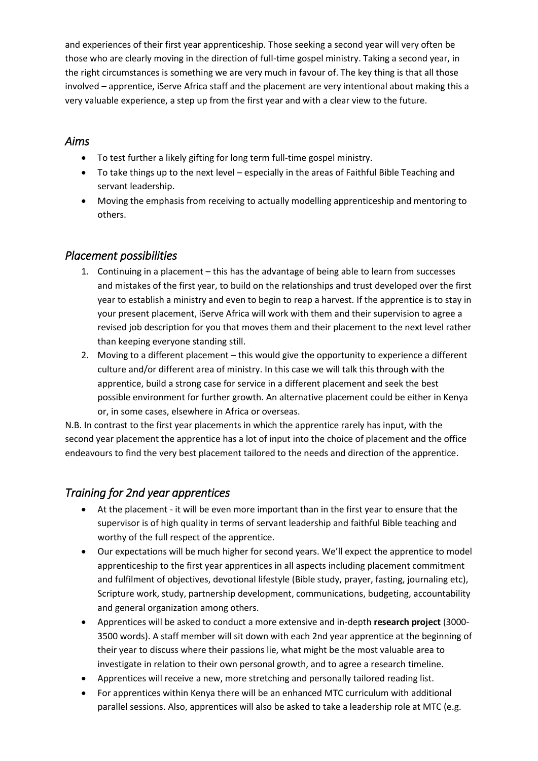and experiences of their first year apprenticeship. Those seeking a second year will very often be those who are clearly moving in the direction of full-time gospel ministry. Taking a second year, in the right circumstances is something we are very much in favour of. The key thing is that all those involved – apprentice, iServe Africa staff and the placement are very intentional about making this a very valuable experience, a step up from the first year and with a clear view to the future.

#### <span id="page-4-0"></span>*Aims*

- To test further a likely gifting for long term full-time gospel ministry.
- To take things up to the next level especially in the areas of Faithful Bible Teaching and servant leadership.
- Moving the emphasis from receiving to actually modelling apprenticeship and mentoring to others.

#### <span id="page-4-1"></span>*Placement possibilities*

- 1. Continuing in a placement this has the advantage of being able to learn from successes and mistakes of the first year, to build on the relationships and trust developed over the first year to establish a ministry and even to begin to reap a harvest. If the apprentice is to stay in your present placement, iServe Africa will work with them and their supervision to agree a revised job description for you that moves them and their placement to the next level rather than keeping everyone standing still.
- 2. Moving to a different placement this would give the opportunity to experience a different culture and/or different area of ministry. In this case we will talk this through with the apprentice, build a strong case for service in a different placement and seek the best possible environment for further growth. An alternative placement could be either in Kenya or, in some cases, elsewhere in Africa or overseas.

N.B. In contrast to the first year placements in which the apprentice rarely has input, with the second year placement the apprentice has a lot of input into the choice of placement and the office endeavours to find the very best placement tailored to the needs and direction of the apprentice.

### <span id="page-4-2"></span>*Training for 2nd year apprentices*

- At the placement it will be even more important than in the first year to ensure that the supervisor is of high quality in terms of servant leadership and faithful Bible teaching and worthy of the full respect of the apprentice.
- Our expectations will be much higher for second years. We'll expect the apprentice to model apprenticeship to the first year apprentices in all aspects including placement commitment and fulfilment of objectives, devotional lifestyle (Bible study, prayer, fasting, journaling etc), Scripture work, study, partnership development, communications, budgeting, accountability and general organization among others.
- Apprentices will be asked to conduct a more extensive and in-depth **research project** (3000- 3500 words). A staff member will sit down with each 2nd year apprentice at the beginning of their year to discuss where their passions lie, what might be the most valuable area to investigate in relation to their own personal growth, and to agree a research timeline.
- Apprentices will receive a new, more stretching and personally tailored reading list.
- For apprentices within Kenya there will be an enhanced MTC curriculum with additional parallel sessions. Also, apprentices will also be asked to take a leadership role at MTC (e.g.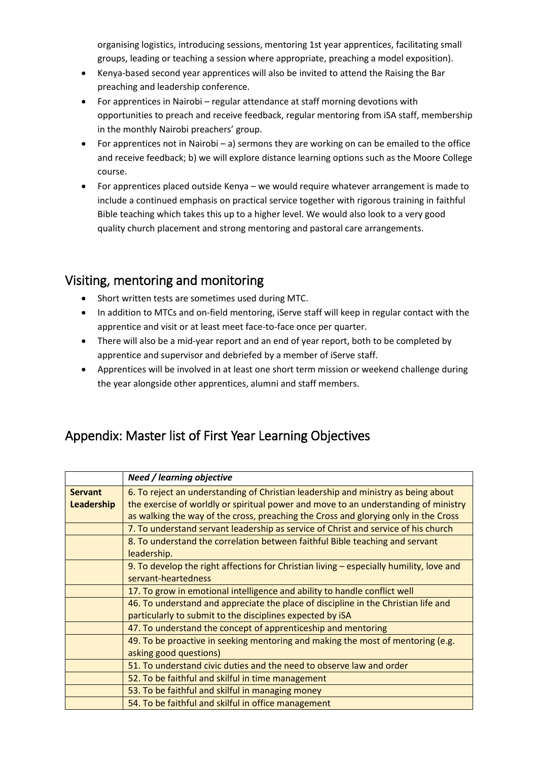organising logistics, introducing sessions, mentoring 1st year apprentices, facilitating small groups, leading or teaching a session where appropriate, preaching a model exposition).

- Kenya-based second year apprentices will also be invited to attend the Raising the Bar preaching and leadership conference.
- For apprentices in Nairobi regular attendance at staff morning devotions with opportunities to preach and receive feedback, regular mentoring from iSA staff, membership in the monthly Nairobi preachers' group.
- For apprentices not in Nairobi a) sermons they are working on can be emailed to the office and receive feedback; b) we will explore distance learning options such as the Moore College course.
- For apprentices placed outside Kenya we would require whatever arrangement is made to include a continued emphasis on practical service together with rigorous training in faithful Bible teaching which takes this up to a higher level. We would also look to a very good quality church placement and strong mentoring and pastoral care arrangements.

## <span id="page-5-0"></span>Visiting, mentoring and monitoring

- Short written tests are sometimes used during MTC.
- In addition to MTCs and on-field mentoring, iServe staff will keep in regular contact with the apprentice and visit or at least meet face-to-face once per quarter.
- There will also be a mid-year report and an end of year report, both to be completed by apprentice and supervisor and debriefed by a member of iServe staff.
- Apprentices will be involved in at least one short term mission or weekend challenge during the year alongside other apprentices, alumni and staff members.

## <span id="page-5-1"></span>Appendix: Master list of First Year Learning Objectives

|                              | <b>Need / learning objective</b>                                                                                                                                                                                                                                |
|------------------------------|-----------------------------------------------------------------------------------------------------------------------------------------------------------------------------------------------------------------------------------------------------------------|
| <b>Servant</b><br>Leadership | 6. To reject an understanding of Christian leadership and ministry as being about<br>the exercise of worldly or spiritual power and move to an understanding of ministry<br>as walking the way of the cross, preaching the Cross and glorying only in the Cross |
|                              | 7. To understand servant leadership as service of Christ and service of his church                                                                                                                                                                              |
|                              | 8. To understand the correlation between faithful Bible teaching and servant<br>leadership.                                                                                                                                                                     |
|                              | 9. To develop the right affections for Christian living – especially humility, love and<br>servant-heartedness                                                                                                                                                  |
|                              | 17. To grow in emotional intelligence and ability to handle conflict well                                                                                                                                                                                       |
|                              | 46. To understand and appreciate the place of discipline in the Christian life and<br>particularly to submit to the disciplines expected by iSA                                                                                                                 |
|                              | 47. To understand the concept of apprenticeship and mentoring                                                                                                                                                                                                   |
|                              | 49. To be proactive in seeking mentoring and making the most of mentoring (e.g.<br>asking good questions)                                                                                                                                                       |
|                              | 51. To understand civic duties and the need to observe law and order                                                                                                                                                                                            |
|                              | 52. To be faithful and skilful in time management                                                                                                                                                                                                               |
|                              | 53. To be faithful and skilful in managing money                                                                                                                                                                                                                |
|                              | 54. To be faithful and skilful in office management                                                                                                                                                                                                             |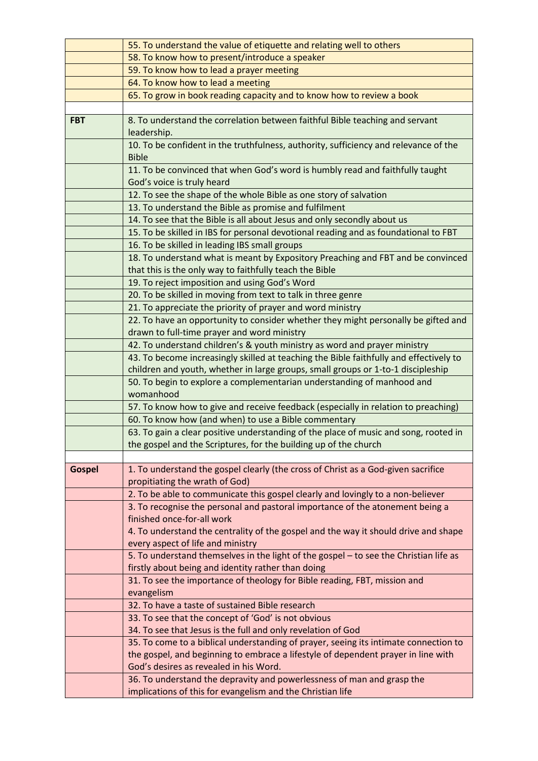|               | 55. To understand the value of etiquette and relating well to others                                        |
|---------------|-------------------------------------------------------------------------------------------------------------|
|               | 58. To know how to present/introduce a speaker                                                              |
|               | 59. To know how to lead a prayer meeting                                                                    |
|               | 64. To know how to lead a meeting                                                                           |
|               | 65. To grow in book reading capacity and to know how to review a book                                       |
|               |                                                                                                             |
| <b>FBT</b>    | 8. To understand the correlation between faithful Bible teaching and servant                                |
|               | leadership.                                                                                                 |
|               | 10. To be confident in the truthfulness, authority, sufficiency and relevance of the                        |
|               | <b>Bible</b>                                                                                                |
|               | 11. To be convinced that when God's word is humbly read and faithfully taught                               |
|               | God's voice is truly heard                                                                                  |
|               | 12. To see the shape of the whole Bible as one story of salvation                                           |
|               | 13. To understand the Bible as promise and fulfilment                                                       |
|               | 14. To see that the Bible is all about Jesus and only secondly about us                                     |
|               | 15. To be skilled in IBS for personal devotional reading and as foundational to FBT                         |
|               | 16. To be skilled in leading IBS small groups                                                               |
|               | 18. To understand what is meant by Expository Preaching and FBT and be convinced                            |
|               | that this is the only way to faithfully teach the Bible                                                     |
|               | 19. To reject imposition and using God's Word                                                               |
|               | 20. To be skilled in moving from text to talk in three genre                                                |
|               | 21. To appreciate the priority of prayer and word ministry                                                  |
|               | 22. To have an opportunity to consider whether they might personally be gifted and                          |
|               | drawn to full-time prayer and word ministry                                                                 |
|               | 42. To understand children's & youth ministry as word and prayer ministry                                   |
|               | 43. To become increasingly skilled at teaching the Bible faithfully and effectively to                      |
|               | children and youth, whether in large groups, small groups or 1-to-1 discipleship                            |
|               | 50. To begin to explore a complementarian understanding of manhood and                                      |
|               | womanhood                                                                                                   |
|               | 57. To know how to give and receive feedback (especially in relation to preaching)                          |
|               | 60. To know how (and when) to use a Bible commentary                                                        |
|               | 63. To gain a clear positive understanding of the place of music and song, rooted in                        |
|               | the gospel and the Scriptures, for the building up of the church                                            |
|               |                                                                                                             |
| <b>Gospel</b> | 1. To understand the gospel clearly (the cross of Christ as a God-given sacrifice                           |
|               | propitiating the wrath of God)                                                                              |
|               | 2. To be able to communicate this gospel clearly and lovingly to a non-believer                             |
|               | 3. To recognise the personal and pastoral importance of the atonement being a<br>finished once-for-all work |
|               | 4. To understand the centrality of the gospel and the way it should drive and shape                         |
|               | every aspect of life and ministry                                                                           |
|               | 5. To understand themselves in the light of the gospel - to see the Christian life as                       |
|               | firstly about being and identity rather than doing                                                          |
|               | 31. To see the importance of theology for Bible reading, FBT, mission and                                   |
|               | evangelism                                                                                                  |
|               | 32. To have a taste of sustained Bible research                                                             |
|               | 33. To see that the concept of 'God' is not obvious                                                         |
|               | 34. To see that Jesus is the full and only revelation of God                                                |
|               | 35. To come to a biblical understanding of prayer, seeing its intimate connection to                        |
|               | the gospel, and beginning to embrace a lifestyle of dependent prayer in line with                           |
|               | God's desires as revealed in his Word.                                                                      |
|               | 36. To understand the depravity and powerlessness of man and grasp the                                      |
|               | implications of this for evangelism and the Christian life                                                  |